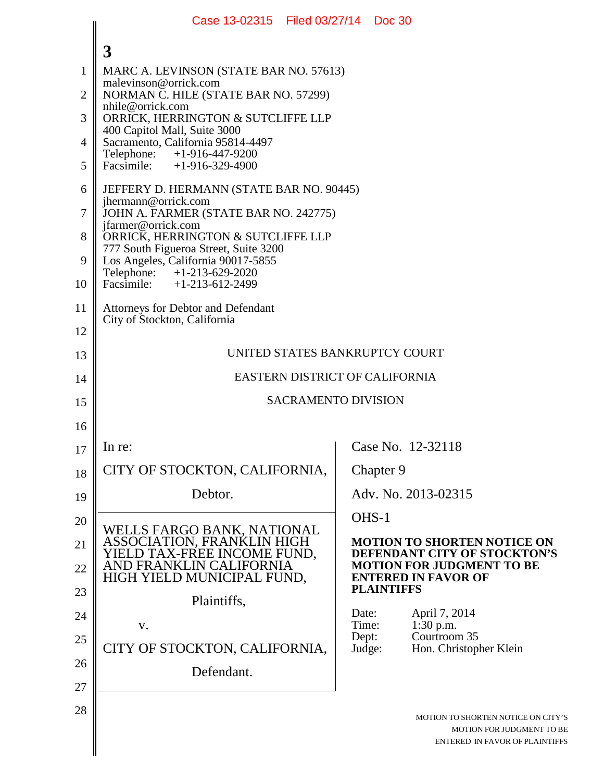|                | Case 13-02315   Filed 03/27/14   Doc 30                                                                            |                 |                                                                                                   |  |
|----------------|--------------------------------------------------------------------------------------------------------------------|-----------------|---------------------------------------------------------------------------------------------------|--|
|                | 3                                                                                                                  |                 |                                                                                                   |  |
| $\mathbf{1}$   | MARC A. LEVINSON (STATE BAR NO. 57613)                                                                             |                 |                                                                                                   |  |
| $\overline{2}$ | malevinson@orrick.com<br>NORMAN C. HILE (STATE BAR NO. 57299)<br>nhile@orrick.com                                  |                 |                                                                                                   |  |
| 3              | ORRICK, HERRINGTON & SUTCLIFFE LLP                                                                                 |                 |                                                                                                   |  |
| $\overline{4}$ | 400 Capitol Mall, Suite 3000<br>Sacramento, California 95814-4497                                                  |                 |                                                                                                   |  |
| 5              | Telephone:<br>+1-916-447-9200<br>Facsimile: $+1-916-329-4900$                                                      |                 |                                                                                                   |  |
| 6              | JEFFERY D. HERMANN (STATE BAR NO. 90445)<br>jhermann@orrick.com                                                    |                 |                                                                                                   |  |
| $\overline{7}$ | JOHN A. FARMER (STATE BAR NO. 242775)<br>jfarmer@orrick.com                                                        |                 |                                                                                                   |  |
| 8              | ORRICK, HERRINGTON & SUTCLIFFE LLP<br>777 South Figueroa Street, Suite 3200                                        |                 |                                                                                                   |  |
| 9              | Los Angeles, California 90017-5855<br>Telephone: +1-213-629-2020                                                   |                 |                                                                                                   |  |
| 10             | Facsimile: $+1-213-612-2499$                                                                                       |                 |                                                                                                   |  |
| 11             | <b>Attorneys for Debtor and Defendant</b><br>City of Stockton, California                                          |                 |                                                                                                   |  |
| 12             |                                                                                                                    |                 |                                                                                                   |  |
| 13             | UNITED STATES BANKRUPTCY COURT                                                                                     |                 |                                                                                                   |  |
| 14             | EASTERN DISTRICT OF CALIFORNIA                                                                                     |                 |                                                                                                   |  |
| 15             | <b>SACRAMENTO DIVISION</b>                                                                                         |                 |                                                                                                   |  |
| 16             |                                                                                                                    |                 |                                                                                                   |  |
| 17             | In re:                                                                                                             |                 | Case No. 12-32118                                                                                 |  |
| 18             | CITY OF STOCKTON, CALIFORNIA,                                                                                      |                 | Chapter 9                                                                                         |  |
| 19             | Debtor.                                                                                                            |                 | Adv. No. 2013-02315                                                                               |  |
| 20             |                                                                                                                    |                 | OHS-1                                                                                             |  |
| 21             | WELLS FARGO BANK, NATIONAL<br>ASSOCIATION, FRANKLIN HIGH<br>YIELD TAX-FREE INCOME FUND,<br>AND FRANKLIN CALIFORNIA |                 | <b>MOTION TO SHORTEN NOTICE ON</b><br>DEFENDANT CITY OF STOCKTON'S                                |  |
| 22             | HIGH YIELD MUNICIPAL FUND,                                                                                         |                 | <b>MOTION FOR JUDGMENT TO BE</b><br><b>ENTERED IN FAVOR OF</b>                                    |  |
| 23             | Plaintiffs,                                                                                                        |                 | <b>PLAINTIFFS</b>                                                                                 |  |
| 24             | V.                                                                                                                 | Date:<br>Time:  | April 7, 2014<br>1:30 p.m.                                                                        |  |
| 25             | CITY OF STOCKTON, CALIFORNIA,                                                                                      | Dept:<br>Judge: | Courtroom 35<br>Hon. Christopher Klein                                                            |  |
| 26             | Defendant.                                                                                                         |                 |                                                                                                   |  |
| 27             |                                                                                                                    |                 |                                                                                                   |  |
| 28             |                                                                                                                    |                 | MOTION TO SHORTEN NOTICE ON CITY'S<br>MOTION FOR JUDGMENT TO BE<br>ENTERED IN FAVOR OF PLAINTIFFS |  |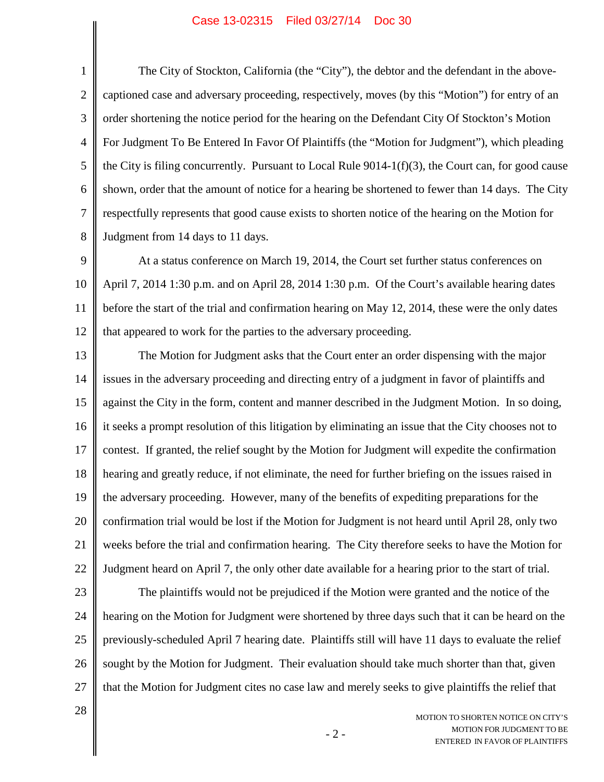1 2 3 4 5 6 7 8 The City of Stockton, California (the "City"), the debtor and the defendant in the abovecaptioned case and adversary proceeding, respectively, moves (by this "Motion") for entry of an order shortening the notice period for the hearing on the Defendant City Of Stockton's Motion For Judgment To Be Entered In Favor Of Plaintiffs (the "Motion for Judgment"), which pleading the City is filing concurrently. Pursuant to Local Rule  $9014-1(f)(3)$ , the Court can, for good cause shown, order that the amount of notice for a hearing be shortened to fewer than 14 days. The City respectfully represents that good cause exists to shorten notice of the hearing on the Motion for Judgment from 14 days to 11 days.

9 10 11 12 At a status conference on March 19, 2014, the Court set further status conferences on April 7, 2014 1:30 p.m. and on April 28, 2014 1:30 p.m. Of the Court's available hearing dates before the start of the trial and confirmation hearing on May 12, 2014, these were the only dates that appeared to work for the parties to the adversary proceeding.

13 14 15 16 17 18 19 20 21 22 The Motion for Judgment asks that the Court enter an order dispensing with the major issues in the adversary proceeding and directing entry of a judgment in favor of plaintiffs and against the City in the form, content and manner described in the Judgment Motion. In so doing, it seeks a prompt resolution of this litigation by eliminating an issue that the City chooses not to contest. If granted, the relief sought by the Motion for Judgment will expedite the confirmation hearing and greatly reduce, if not eliminate, the need for further briefing on the issues raised in the adversary proceeding. However, many of the benefits of expediting preparations for the confirmation trial would be lost if the Motion for Judgment is not heard until April 28, only two weeks before the trial and confirmation hearing. The City therefore seeks to have the Motion for Judgment heard on April 7, the only other date available for a hearing prior to the start of trial.

23 24 25 26 27 The plaintiffs would not be prejudiced if the Motion were granted and the notice of the hearing on the Motion for Judgment were shortened by three days such that it can be heard on the previously-scheduled April 7 hearing date. Plaintiffs still will have 11 days to evaluate the relief sought by the Motion for Judgment. Their evaluation should take much shorter than that, given that the Motion for Judgment cites no case law and merely seeks to give plaintiffs the relief that

28